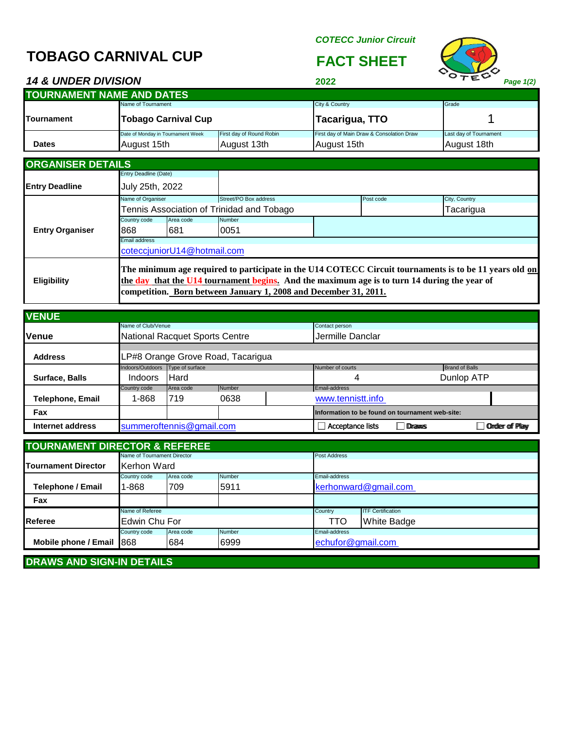# **TOBAGO CARNIVAL CUP FACT SHEET**

*COTECC Junior Circuit*



*14 & UNDER DIVISION* **2022** *Page 1(2)*

| .                                |                                   | -----<br>$1.494$ $1.47$  |                                           |                        |  |  |  |  |
|----------------------------------|-----------------------------------|--------------------------|-------------------------------------------|------------------------|--|--|--|--|
| <b>TOURNAMENT NAME AND DATES</b> |                                   |                          |                                           |                        |  |  |  |  |
|                                  | Name of Tournament                |                          | City & Country                            | Grade                  |  |  |  |  |
| <b>ITournament</b>               | <b>Tobago Carnival Cup</b>        |                          | Tacarigua, TTO                            |                        |  |  |  |  |
|                                  | Date of Monday in Tournament Week | First day of Round Robin | First day of Main Draw & Consolation Draw | Last day of Tournament |  |  |  |  |
| <b>Dates</b>                     | August 15th                       | August 13th              | August 15th                               | August 18th            |  |  |  |  |

| <b>ORGANISER DETAILS</b> |                                                                                                                                                                                                                                                                            |                             |                                                  |  |           |               |  |
|--------------------------|----------------------------------------------------------------------------------------------------------------------------------------------------------------------------------------------------------------------------------------------------------------------------|-----------------------------|--------------------------------------------------|--|-----------|---------------|--|
|                          | <b>Entry Deadline (Date)</b>                                                                                                                                                                                                                                               |                             |                                                  |  |           |               |  |
| <b>Entry Deadline</b>    | July 25th, 2022                                                                                                                                                                                                                                                            |                             |                                                  |  |           |               |  |
|                          | Name of Organiser                                                                                                                                                                                                                                                          |                             | Street/PO Box address                            |  | Post code | City, Country |  |
|                          |                                                                                                                                                                                                                                                                            |                             | <b>Fennis Association of Trinidad and Tobago</b> |  |           | Tacarigua     |  |
|                          | Country code                                                                                                                                                                                                                                                               | Area code                   | Number                                           |  |           |               |  |
| <b>Entry Organiser</b>   | 868                                                                                                                                                                                                                                                                        | 1681                        | 0051                                             |  |           |               |  |
|                          | <b>Email address</b>                                                                                                                                                                                                                                                       |                             |                                                  |  |           |               |  |
|                          |                                                                                                                                                                                                                                                                            | coteccjuniorU14@hotmail.com |                                                  |  |           |               |  |
| <b>Eligibility</b>       | The minimum age required to participate in the U14 COTECC Circuit tournaments is to be 11 years old on<br>the day that the U14 tournament begins. And the maximum age is to turn 14 during the year of<br>competition. Born between January 1, 2008 and December 31, 2011. |                             |                                                  |  |           |               |  |

| <b>VENUE</b>     |                          |                                   |                                |                  |                                                 |                  |                       |  |
|------------------|--------------------------|-----------------------------------|--------------------------------|------------------|-------------------------------------------------|------------------|-----------------------|--|
|                  | Name of Club/Venue       |                                   |                                |                  | Contact person                                  |                  |                       |  |
| <b>Venue</b>     |                          |                                   | National Racquet Sports Centre |                  |                                                 | Jermille Danclar |                       |  |
|                  |                          |                                   |                                |                  |                                                 |                  |                       |  |
| <b>Address</b>   |                          | LP#8 Orange Grove Road, Tacarigua |                                |                  |                                                 |                  |                       |  |
|                  | Indoors/Outdoors         | Type of surface                   |                                |                  | Number of courts                                |                  | <b>Brand of Balls</b> |  |
| Surface, Balls   | <b>Indoors</b>           | Hard                              |                                |                  | Dunlop ATP<br>4                                 |                  |                       |  |
|                  | Country code             | Area code                         | Number                         |                  | Email-address                                   |                  |                       |  |
| Telephone, Email | 1-868                    | 1719                              | 0638                           |                  | www.tennistt.info                               |                  |                       |  |
| Fax              |                          |                                   |                                |                  | Information to be found on tournament web-site: |                  |                       |  |
| Internet address | summeroftennis@gmail.com |                                   |                                | Acceptance lists | Draws                                           |                  | <b>Order of Play</b>  |  |

| <b>TOURNAMENT DIRECTOR &amp; REFEREE.</b> |                                     |           |        |                      |                          |  |  |  |
|-------------------------------------------|-------------------------------------|-----------|--------|----------------------|--------------------------|--|--|--|
|                                           | Name of Tournament Director         |           |        | Post Address         |                          |  |  |  |
| Tournament Director                       | Kerhon Ward                         |           |        |                      |                          |  |  |  |
|                                           | Number<br>Country code<br>Area code |           |        | Email-address        |                          |  |  |  |
| Telephone / Email                         | 1-868<br>5911<br>1709               |           |        | kerhonward@gmail.com |                          |  |  |  |
| Fax                                       |                                     |           |        |                      |                          |  |  |  |
|                                           | Name of Referee                     |           |        | Country              | <b>ITF Certification</b> |  |  |  |
| <b>Referee</b>                            | Edwin Chu For                       |           |        | TTO                  | White Badge              |  |  |  |
|                                           | Country code                        | Area code | Number | <b>Email-address</b> |                          |  |  |  |
| Mobile phone / Email 868                  |                                     | 684       | 6999   | echufor@gmail.com    |                          |  |  |  |

**DRAWS AND SIGN-IN DETAILS**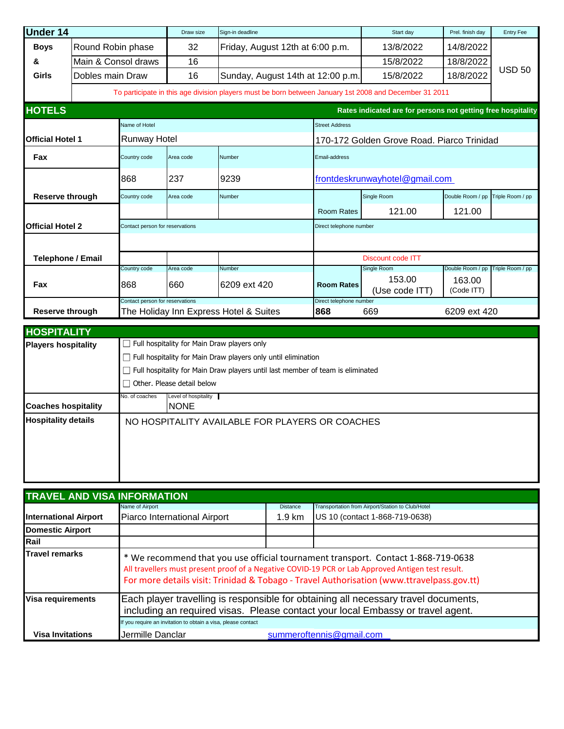| <b>Under 14</b>          |                   |                                 | Draw size | Sign-in deadline                                                                                       |                         | Start day                                                    | Prel. finish day     | <b>Entry Fee</b> |
|--------------------------|-------------------|---------------------------------|-----------|--------------------------------------------------------------------------------------------------------|-------------------------|--------------------------------------------------------------|----------------------|------------------|
| <b>Boys</b>              | Round Robin phase |                                 | 32        | Friday, August 12th at 6:00 p.m.                                                                       |                         | 13/8/2022                                                    | 14/8/2022            |                  |
| &                        |                   | Main & Consol draws             | 16        |                                                                                                        |                         | 15/8/2022                                                    | 18/8/2022            |                  |
| Girls                    | Dobles main Draw  |                                 | 16        | Sunday, August 14th at 12:00 p.m.                                                                      |                         | 15/8/2022                                                    | 18/8/2022            | <b>USD 50</b>    |
|                          |                   |                                 |           | To participate in this age division players must be born between January 1st 2008 and December 31 2011 |                         |                                                              |                      |                  |
| <b>HOTELS</b>            |                   |                                 |           |                                                                                                        |                         | Rates indicated are for persons not getting free hospitality |                      |                  |
|                          |                   | Name of Hotel                   |           |                                                                                                        | <b>Street Address</b>   |                                                              |                      |                  |
| <b>Official Hotel 1</b>  |                   | <b>Runway Hotel</b>             |           |                                                                                                        |                         | 170-172 Golden Grove Road, Piarco Trinidad                   |                      |                  |
| Fax                      |                   | Country code                    | Area code | Number                                                                                                 | Email-address           |                                                              |                      |                  |
| 868                      |                   | 237                             | 9239      | frontdeskrunwayhotel@gmail.com                                                                         |                         |                                                              |                      |                  |
| <b>Reserve through</b>   |                   | Country code                    | Area code | Number                                                                                                 |                         | Single Room                                                  | Double Room / pp     | Triple Room / pp |
|                          |                   |                                 |           |                                                                                                        | <b>Room Rates</b>       | 121.00                                                       | 121.00               |                  |
| <b>Official Hotel 2</b>  |                   | Contact person for reservations |           |                                                                                                        | Direct telephone number |                                                              |                      |                  |
|                          |                   |                                 |           |                                                                                                        |                         |                                                              |                      |                  |
| <b>Telephone / Email</b> |                   |                                 |           |                                                                                                        |                         | Discount code ITT                                            |                      |                  |
|                          |                   | Country code                    | Area code | Number                                                                                                 |                         | Single Room                                                  | Double Room / pp     | Triple Room / pp |
| Fax                      |                   | 868                             | 660       | 6209 ext 420                                                                                           | <b>Room Rates</b>       | 153.00<br>(Use code ITT)                                     | 163.00<br>(Code ITT) |                  |
|                          |                   | Contact person for reservations |           |                                                                                                        | Direct telephone number |                                                              |                      |                  |
| <b>Reserve through</b>   |                   |                                 |           | The Holiday Inn Express Hotel & Suites                                                                 | 868                     | 669                                                          | 6209 ext 420         |                  |

| <b>HOSPITALITY</b>         |                                                    |                                                                                |  |  |  |
|----------------------------|----------------------------------------------------|--------------------------------------------------------------------------------|--|--|--|
| <b>Players hospitality</b> | $\Box$ Full hospitality for Main Draw players only |                                                                                |  |  |  |
|                            |                                                    | Full hospitality for Main Draw players only until elimination                  |  |  |  |
|                            |                                                    | Full hospitality for Main Draw players until last member of team is eliminated |  |  |  |
|                            |                                                    | Other. Please detail below                                                     |  |  |  |
| <b>Coaches hospitality</b> | No. of coaches                                     | Level of hospitality<br><b>INONE</b>                                           |  |  |  |
| <b>Hospitality details</b> |                                                    | NO HOSPITALITY AVAILABLE FOR PLAYERS OR COACHES                                |  |  |  |

|                              | <b>TRAVEL AND VISA INFORMATION</b>                                                                                                                                     |                  |                                                                                                                                                                                                                                                                                     |  |  |  |  |
|------------------------------|------------------------------------------------------------------------------------------------------------------------------------------------------------------------|------------------|-------------------------------------------------------------------------------------------------------------------------------------------------------------------------------------------------------------------------------------------------------------------------------------|--|--|--|--|
|                              | Name of Airport                                                                                                                                                        | <b>Distance</b>  | Transportation from Airport/Station to Club/Hotel                                                                                                                                                                                                                                   |  |  |  |  |
| <b>International Airport</b> | Piarco International Airport                                                                                                                                           | $1.9 \text{ km}$ | US 10 (contact 1-868-719-0638)                                                                                                                                                                                                                                                      |  |  |  |  |
| <b>Domestic Airport</b>      |                                                                                                                                                                        |                  |                                                                                                                                                                                                                                                                                     |  |  |  |  |
| Rail                         |                                                                                                                                                                        |                  |                                                                                                                                                                                                                                                                                     |  |  |  |  |
| <b>Travel remarks</b>        |                                                                                                                                                                        |                  | * We recommend that you use official tournament transport. Contact 1-868-719-0638<br>All travellers must present proof of a Negative COVID-19 PCR or Lab Approved Antigen test result.<br>For more details visit: Trinidad & Tobago - Travel Authorisation (www.ttravelpass.gov.tt) |  |  |  |  |
| Visa requirements            | Each player travelling is responsible for obtaining all necessary travel documents,<br>including an required visas. Please contact your local Embassy or travel agent. |                  |                                                                                                                                                                                                                                                                                     |  |  |  |  |
|                              | If you require an invitation to obtain a visa, please contact                                                                                                          |                  |                                                                                                                                                                                                                                                                                     |  |  |  |  |
| <b>Visa Invitations</b>      | Jermille Danclar                                                                                                                                                       |                  | summeroftennis@gmail.com                                                                                                                                                                                                                                                            |  |  |  |  |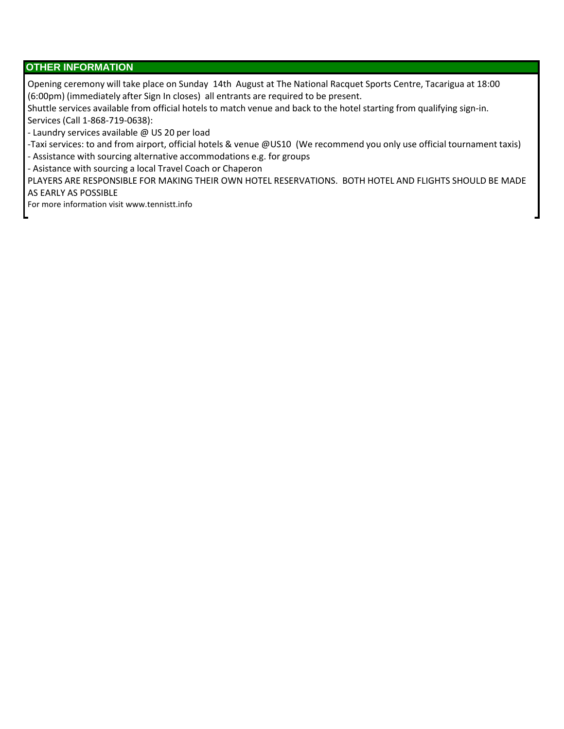### **OTHER INFORMATION**

Opening ceremony will take place on Sunday 14th August at The National Racquet Sports Centre, Tacarigua at 18:00 (6:00pm) (immediately after Sign In closes) all entrants are required to be present.

Shuttle services available from official hotels to match venue and back to the hotel starting from qualifying sign-in. Services (Call 1-868-719-0638):

- Laundry services available @ US 20 per load

-Taxi services: to and from airport, official hotels & venue @US10 (We recommend you only use official tournament taxis)

- Assistance with sourcing alternative accommodations e.g. for groups

- Asistance with sourcing a local Travel Coach or Chaperon

PLAYERS ARE RESPONSIBLE FOR MAKING THEIR OWN HOTEL RESERVATIONS. BOTH HOTEL AND FLIGHTS SHOULD BE MADE AS EARLY AS POSSIBLE

For more information visit www.tennistt.info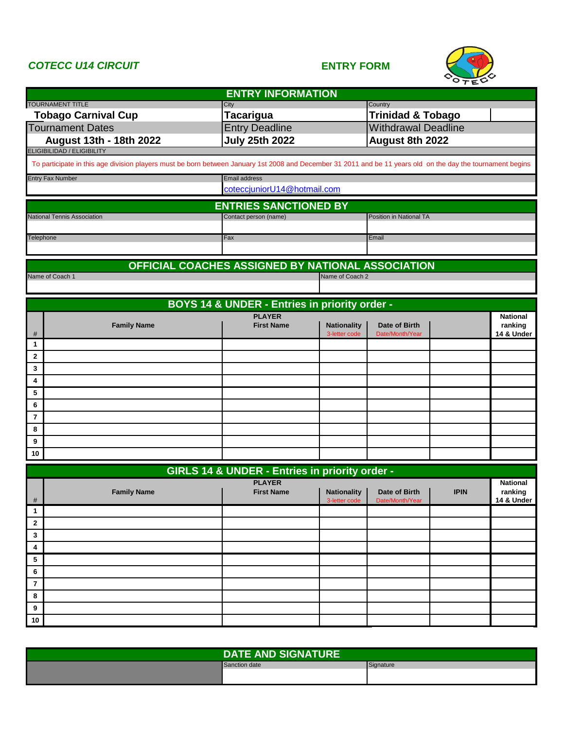### *COTECC U14 CIRCUIT* **ENTRY FORM**



|                                                                                                                                                             | <b>ENTRY INFORMATION</b>                                        |                                     |                                  |             |                 |
|-------------------------------------------------------------------------------------------------------------------------------------------------------------|-----------------------------------------------------------------|-------------------------------------|----------------------------------|-------------|-----------------|
| <b>TOURNAMENT TITLE</b>                                                                                                                                     | City                                                            |                                     | Country                          |             |                 |
| <b>Tobago Carnival Cup</b>                                                                                                                                  | <b>Tacarigua</b>                                                |                                     | <b>Trinidad &amp; Tobago</b>     |             |                 |
| <b>Tournament Dates</b>                                                                                                                                     | <b>Entry Deadline</b>                                           |                                     | <b>Withdrawal Deadline</b>       |             |                 |
| August 13th - 18th 2022<br><b>ELIGIBILIDAD / ELIGIBILITY</b>                                                                                                | <b>July 25th 2022</b>                                           |                                     | August 8th 2022                  |             |                 |
| To participate in this age division players must be born between January 1st 2008 and December 31 2011 and be 11 years old on the day the tournament begins |                                                                 |                                     |                                  |             |                 |
| <b>Entry Fax Number</b>                                                                                                                                     | <b>Email address</b><br>coteccjuniorU14@hotmail.com             |                                     |                                  |             |                 |
|                                                                                                                                                             | <b>ENTRIES SANCTIONED BY</b>                                    |                                     |                                  |             |                 |
| National Tennis Association                                                                                                                                 | Contact person (name)                                           |                                     | Position in National TA          |             |                 |
|                                                                                                                                                             |                                                                 |                                     |                                  |             |                 |
| Telephone                                                                                                                                                   | Fax                                                             |                                     | Email                            |             |                 |
|                                                                                                                                                             | OFFICIAL COACHES ASSIGNED BY NATIONAL ASSOCIATION               |                                     |                                  |             |                 |
| Name of Coach 1                                                                                                                                             |                                                                 | Name of Coach 2                     |                                  |             |                 |
|                                                                                                                                                             |                                                                 |                                     |                                  |             |                 |
|                                                                                                                                                             | BOYS 14 & UNDER - Entries in priority order -                   |                                     |                                  |             |                 |
|                                                                                                                                                             | <b>PLAYER</b>                                                   |                                     |                                  |             | <b>National</b> |
| <b>Family Name</b>                                                                                                                                          | <b>First Name</b>                                               | <b>Nationality</b><br>3-letter code | Date of Birth<br>Date/Month/Year |             | ranking         |
| #<br>1                                                                                                                                                      |                                                                 |                                     |                                  |             | 14 & Under      |
| $\mathbf{2}$                                                                                                                                                |                                                                 |                                     |                                  |             |                 |
| 3                                                                                                                                                           |                                                                 |                                     |                                  |             |                 |
| 4                                                                                                                                                           |                                                                 |                                     |                                  |             |                 |
| 5                                                                                                                                                           |                                                                 |                                     |                                  |             |                 |
| 6                                                                                                                                                           |                                                                 |                                     |                                  |             |                 |
| $\overline{7}$                                                                                                                                              |                                                                 |                                     |                                  |             |                 |
| 8<br>9                                                                                                                                                      |                                                                 |                                     |                                  |             |                 |
| 10                                                                                                                                                          |                                                                 |                                     |                                  |             |                 |
|                                                                                                                                                             |                                                                 |                                     |                                  |             |                 |
|                                                                                                                                                             | GIRLS 14 & UNDER - Entries in priority order -<br><b>PLAYER</b> |                                     |                                  |             | <b>National</b> |
| <b>Family Name</b>                                                                                                                                          | <b>First Name</b>                                               | <b>Nationality</b>                  | Date of Birth                    | <b>IPIN</b> | ranking         |
| $\mathbf{1}$                                                                                                                                                |                                                                 | 3-letter code                       | Date/Month/Yea                   |             | 14 & Under      |
| $\mathbf{2}$                                                                                                                                                |                                                                 |                                     |                                  |             |                 |
| 3                                                                                                                                                           |                                                                 |                                     |                                  |             |                 |
| 4                                                                                                                                                           |                                                                 |                                     |                                  |             |                 |
| 5                                                                                                                                                           |                                                                 |                                     |                                  |             |                 |
| 6                                                                                                                                                           |                                                                 |                                     |                                  |             |                 |
| 7                                                                                                                                                           |                                                                 |                                     |                                  |             |                 |
| 8                                                                                                                                                           |                                                                 |                                     |                                  |             |                 |
| 9                                                                                                                                                           |                                                                 |                                     |                                  |             |                 |
| 10                                                                                                                                                          |                                                                 |                                     |                                  |             |                 |

| <b>DATE AND SIGNATURE</b> |           |  |  |  |
|---------------------------|-----------|--|--|--|
| Sanction date             | Signature |  |  |  |
|                           |           |  |  |  |
|                           |           |  |  |  |